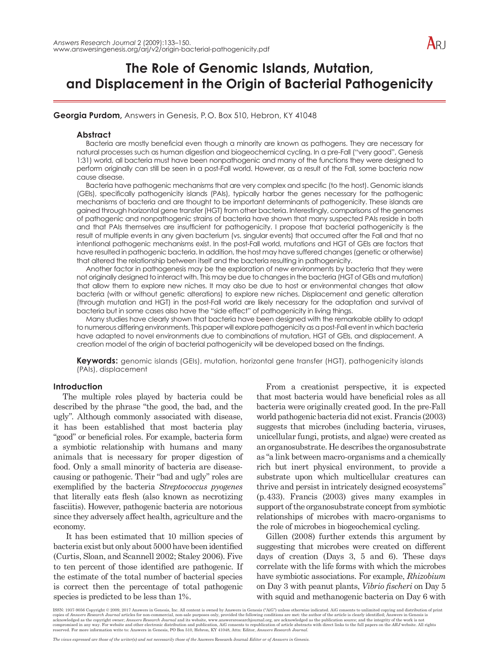# $ARI$

# **The Role of Genomic Islands, Mutation, and Displacement in the Origin of Bacterial Pathogenicity**

**Georgia Purdom,** Answers in Genesis, P. O. Box 510, Hebron, KY 41048

# **Abstract**

Bacteria are mostly beneficial even though a minority are known as pathogens. They are necessary for natural processes such as human digestion and biogeochemical cycling. In a pre-Fall ("very good", Genesis 1:31) world, all bacteria must have been nonpathogenic and many of the functions they were designed to perform originally can still be seen in a post-Fall world. However, as a result of the Fall, some bacteria now cause disease.

Bacteria have pathogenic mechanisms that are very complex and specific (to the host). Genomic islands (GEIs), specifically pathogenicity islands (PAIs), typically harbor the genes necessary for the pathogenic mechanisms of bacteria and are thought to be important determinants of pathogenicity. These islands are gained through horizontal gene transfer (HGT) from other bacteria. Interestingly, comparisons of the genomes of pathogenic and nonpathogenic strains of bacteria have shown that many suspected PAIs reside in both and that PAIs themselves are insufficient for pathogenicity. I propose that bacterial pathogenicity is the result of multiple events in any given bacterium (vs. singular events) that occurred after the Fall and that no intentional pathogenic mechanisms exist. In the post-Fall world, mutations and HGT of GEIs are factors that have resulted in pathogenic bacteria. In addition, the host may have suffered changes (genetic or otherwise) that altered the relationship between itself and the bacteria resulting in pathogenicity.

Another factor in pathogenesis may be the exploration of new environments by bacteria that they were not originally designed to interact with. This may be due to changes in the bacteria (HGT of GEIs and mutation) that allow them to explore new niches. It may also be due to host or environmental changes that allow bacteria (with or without genetic alterations) to explore new niches. Displacement and genetic alteration (through mutation and HGT) in the post-Fall world are likely necessary for the adaptation and survival of bacteria but in some cases also have the "side effect" of pathogenicity in living things.

Many studies have clearly shown that bacteria have been designed with the remarkable ability to adapt to numerous differing environments. This paper will explore pathogenicity as a post-Fall event in which bacteria have adapted to novel environments due to combinations of mutation, HGT of GEIs, and displacement. A creation model of the origin of bacterial pathogenicity will be developed based on the findings.

**Keywords:** genomic islands (GEIs), mutation, horizontal gene transfer (HGT), pathogenicity islands (PAIs), displacement

# **Introduction**

The multiple roles played by bacteria could be described by the phrase "the good, the bad, and the ugly". Although commonly associated with disease, it has been established that most bacteria play "good" or beneficial roles. For example, bacteria form a symbiotic relationship with humans and many animals that is necessary for proper digestion of food. Only a small minority of bacteria are diseasecausing or pathogenic. Their "bad and ugly" roles are exemplified by the bacteria *Streptococcus pyogenes* that literally eats flesh (also known as necrotizing fasciitis). However, pathogenic bacteria are notorious since they adversely affect health, agriculture and the economy.

 It has been estimated that 10 million species of bacteria exist but only about 5000 have been identified (Curtis, Sloan, and Scannell 2002; Staley 2006). Five to ten percent of those identified are pathogenic. If the estimate of the total number of bacterial species is correct then the percentage of total pathogenic species is predicted to be less than 1%.

From a creationist perspective, it is expected that most bacteria would have beneficial roles as all bacteria were originally created good. In the pre-Fall world pathogenic bacteria did not exist. Francis (2003) suggests that microbes (including bacteria, viruses, unicellular fungi, protists, and algae) were created as an organosubstrate. He describes the organosubstrate as "a link between macro-organisms and a chemically rich but inert physical environment, to provide a substrate upon which multicellular creatures can thrive and persist in intricately designed ecosystems" (p. 433). Francis (2003) gives many examples in support of the organosubstrate concept from symbiotic relationships of microbes with macro-organisms to the role of microbes in biogeochemical cycling.

Gillen (2008) further extends this argument by suggesting that microbes were created on different days of creation (Days 3, 5 and 6). These days correlate with the life forms with which the microbes have symbiotic associations. For example, *Rhizobium* on Day 3 with peanut plants, *Vibrio fischeri* on Day 5 with squid and methanogenic bacteria on Day 6 with

ISSN: 1937-9056 Copyright © 2009, 2017 Answers in Genesis, Inc. All content is owned by Answers in Genesis ("AiG") unless otherwise indicated. AiG consents to unlimited copying and distribution of print<br>copies of *Answers* acknowledged as the copyright owner; *Answers Research Journal* and its website, [www.answersresearchjournal.org](http://www.answersresearchjournal.org), are acknowledged as the publication source; and the integrity of the work is not<br>compromised in any way. For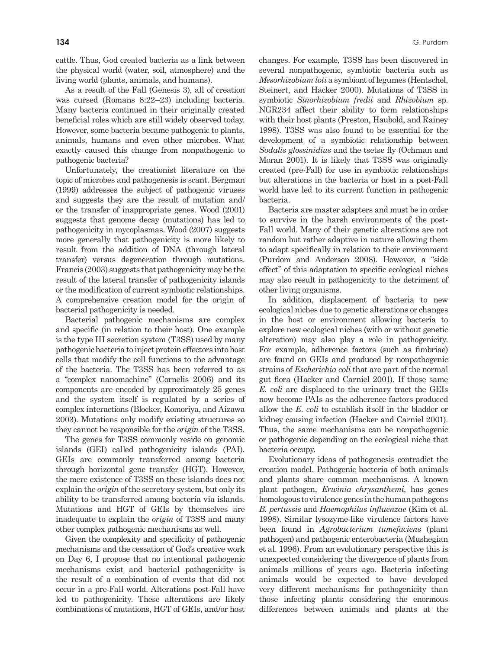cattle. Thus, God created bacteria as a link between the physical world (water, soil, atmosphere) and the living world (plants, animals, and humans).

As a result of the Fall (Genesis 3), all of creation was cursed (Romans 8:22–23) including bacteria. Many bacteria continued in their originally created beneficial roles which are still widely observed today. However, some bacteria became pathogenic to plants, animals, humans and even other microbes. What exactly caused this change from nonpathogenic to pathogenic bacteria?

Unfortunately, the creationist literature on the topic of microbes and pathogenesis is scant. Bergman (1999) addresses the subject of pathogenic viruses and suggests they are the result of mutation and/ or the transfer of inappropriate genes. Wood (2001) suggests that genome decay (mutations) has led to pathogenicity in mycoplasmas. Wood (2007) suggests more generally that pathogenicity is more likely to result from the addition of DNA (through lateral transfer) versus degeneration through mutations. Francis (2003) suggests that pathogenicity may be the result of the lateral transfer of pathogenicity islands or the modification of current symbiotic relationships. A comprehensive creation model for the origin of bacterial pathogenicity is needed.

Bacterial pathogenic mechanisms are complex and specific (in relation to their host). One example is the type III secretion system (T3SS) used by many pathogenic bacteria to inject protein effectors into host cells that modify the cell functions to the advantage of the bacteria. The T3SS has been referred to as a "complex nanomachine" (Cornelis 2006) and its components are encoded by approximately 25 genes and the system itself is regulated by a series of complex interactions (Blocker, Komoriya, and Aizawa 2003). Mutations only modify existing structures so they cannot be responsible for the *origin* of the T3SS.

The genes for T3SS commonly reside on genomic islands (GEI) called pathogenicity islands (PAI). GEIs are commonly transferred among bacteria through horizontal gene transfer (HGT). However, the mere existence of T3SS on these islands does not explain the *origin* of the secretory system, but only its ability to be transferred among bacteria via islands. Mutations and HGT of GEIs by themselves are inadequate to explain the *origin* of T3SS and many other complex pathogenic mechanisms as well.

Given the complexity and specificity of pathogenic mechanisms and the cessation of God's creative work on Day 6, I propose that no intentional pathogenic mechanisms exist and bacterial pathogenicity is the result of a combination of events that did not occur in a pre-Fall world. Alterations post-Fall have led to pathogenicity. These alterations are likely combinations of mutations, HGT of GEIs, and/or host

changes. For example, T3SS has been discovered in several nonpathogenic, symbiotic bacteria such as *Mesorhizobium loti* a symbiont of legumes (Hentschel, Steinert, and Hacker 2000). Mutations of T3SS in symbiotic *Sinorhizobium fredii* and *Rhizobium* sp. NGR234 affect their ability to form relationships with their host plants (Preston, Haubold, and Rainey 1998). T3SS was also found to be essential for the development of a symbiotic relationship between *Sodalis glossinidius* and the tsetse fly (Ochman and Moran 2001). It is likely that T3SS was originally created (pre-Fall) for use in symbiotic relationships but alterations in the bacteria or host in a post-Fall world have led to its current function in pathogenic bacteria.

Bacteria are master adapters and must be in order to survive in the harsh environments of the post-Fall world. Many of their genetic alterations are not random but rather adaptive in nature allowing them to adapt specifically in relation to their environment (Purdom and Anderson 2008). However, a "side effect" of this adaptation to specific ecological niches may also result in pathogenicity to the detriment of other living organisms.

In addition, displacement of bacteria to new ecological niches due to genetic alterations or changes in the host or environment allowing bacteria to explore new ecological niches (with or without genetic alteration) may also play a role in pathogenicity. For example, adherence factors (such as fimbriae) are found on GEIs and produced by nonpathogenic strains of *Escherichia coli* that are part of the normal gut flora (Hacker and Carniel 2001). If those same *E. coli* are displaced to the urinary tract the GEIs now become PAIs as the adherence factors produced allow the *E. coli* to establish itself in the bladder or kidney causing infection (Hacker and Carniel 2001). Thus, the same mechanisms can be nonpathogenic or pathogenic depending on the ecological niche that bacteria occupy.

Evolutionary ideas of pathogenesis contradict the creation model. Pathogenic bacteria of both animals and plants share common mechanisms. A known plant pathogen, *Erwinia chrysanthemi*, has genes homologous to virulence genes in the human pathogens *B. pertussis* and *Haemophilus influenzae* (Kim et al. 1998). Similar lysozyme-like virulence factors have been found in *Agrobacterium tumefaciens* (plant pathogen) and pathogenic enterobacteria (Mushegian et al. 1996). From an evolutionary perspective this is unexpected considering the divergence of plants from animals millions of years ago. Bacteria infecting animals would be expected to have developed very different mechanisms for pathogenicity than those infecting plants considering the enormous differences between animals and plants at the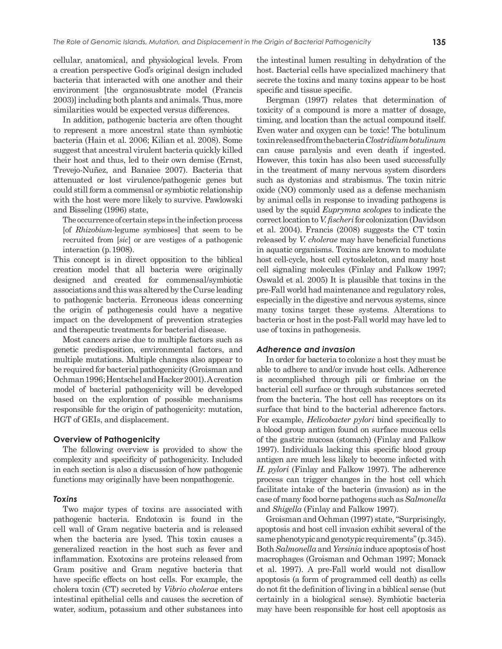cellular, anatomical, and physiological levels. From a creation perspective God's original design included bacteria that interacted with one another and their environment [the organosusbtrate model (Francis 2003)] including both plants and animals. Thus, more similarities would be expected versus differences.

In addition, pathogenic bacteria are often thought to represent a more ancestral state than symbiotic bacteria (Hain et al. 2006; Kilian et al. 2008). Some suggest that ancestral virulent bacteria quickly killed their host and thus, led to their own demise (Ernst, Trevejo-Nuñez, and Banaiee 2007). Bacteria that attenuated or lost virulence/pathogenic genes but could still form a commensal or symbiotic relationship with the host were more likely to survive. Pawlowski and Bisseling (1996) state,

The occurrence of certain steps in the infection process [of *Rhizobium*-legume symbioses] that seem to be recruited from [*sic*] or are vestiges of a pathogenic interaction (p. 1908).

This concept is in direct opposition to the biblical creation model that all bacteria were originally designed and created for commensal/symbiotic associations and this was altered by the Curse leading to pathogenic bacteria. Erroneous ideas concerning the origin of pathogenesis could have a negative impact on the development of prevention strategies and therapeutic treatments for bacterial disease.

Most cancers arise due to multiple factors such as genetic predisposition, environmental factors, and multiple mutations. Multiple changes also appear to be required for bacterial pathogenicity (Groisman and Ochman 1996; Hentschel and Hacker 2001). A creation model of bacterial pathogenicity will be developed based on the exploration of possible mechanisms responsible for the origin of pathogenicity: mutation, HGT of GEIs, and displacement.

#### **Overview of Pathogenicity**

The following overview is provided to show the complexity and specificity of pathogenicity. Included in each section is also a discussion of how pathogenic functions may originally have been nonpathogenic.

#### *Toxins*

Two major types of toxins are associated with pathogenic bacteria. Endotoxin is found in the cell wall of Gram negative bacteria and is released when the bacteria are lysed. This toxin causes a generalized reaction in the host such as fever and inflammation. Exotoxins are proteins released from Gram positive and Gram negative bacteria that have specific effects on host cells. For example, the cholera toxin (CT) secreted by *Vibrio cholerae* enters intestinal epithelial cells and causes the secretion of water, sodium, potassium and other substances into

the intestinal lumen resulting in dehydration of the host. Bacterial cells have specialized machinery that secrete the toxins and many toxins appear to be host specific and tissue specific.

Bergman (1997) relates that determination of toxicity of a compound is more a matter of dosage, timing, and location than the actual compound itself. Even water and oxygen can be toxic! The botulinum toxin released from the bacteria *Clostridium botulinum* can cause paralysis and even death if ingested. However, this toxin has also been used successfully in the treatment of many nervous system disorders such as dystonias and strabismus. The toxin nitric oxide (NO) commonly used as a defense mechanism by animal cells in response to invading pathogens is used by the squid *Euprymna scolopes* to indicate the correct location to *V. fischeri* for colonization (Davidson et al. 2004). Francis (2008) suggests the CT toxin released by *V. cholerae* may have beneficial functions in aquatic organisms. Toxins are known to modulate host cell-cycle, host cell cytoskeleton, and many host cell signaling molecules (Finlay and Falkow 1997; Oswald et al. 2005) It is plausible that toxins in the pre-Fall world had maintenance and regulatory roles, especially in the digestive and nervous systems, since many toxins target these systems. Alterations to bacteria or host in the post-Fall world may have led to use of toxins in pathogenesis.

#### *Adherence and invasion*

In order for bacteria to colonize a host they must be able to adhere to and/or invade host cells. Adherence is accomplished through pili or fimbriae on the bacterial cell surface or through substances secreted from the bacteria. The host cell has receptors on its surface that bind to the bacterial adherence factors. For example, *Helicobacter pylori* bind specifically to a blood group antigen found on surface mucous cells of the gastric mucosa (stomach) (Finlay and Falkow 1997). Individuals lacking this specific blood group antigen are much less likely to become infected with *H. pylori* (Finlay and Falkow 1997). The adherence process can trigger changes in the host cell which facilitate intake of the bacteria (invasion) as in the case of many food borne pathogens such as *Salmonella* and *Shigella* (Finlay and Falkow 1997).

Groisman and Ochman (1997) state, "Surprisingly, apoptosis and host cell invasion exhibit several of the same phenotypic and genotypic requirements" (p. 345). Both *Salmonella* and *Yersinia* induce apoptosis of host macrophages (Groisman and Ochman 1997; Monack et al. 1997). A pre-Fall world would not disallow apoptosis (a form of programmed cell death) as cells do not fit the definition of living in a biblical sense (but certainly in a biological sense). Symbiotic bacteria may have been responsible for host cell apoptosis as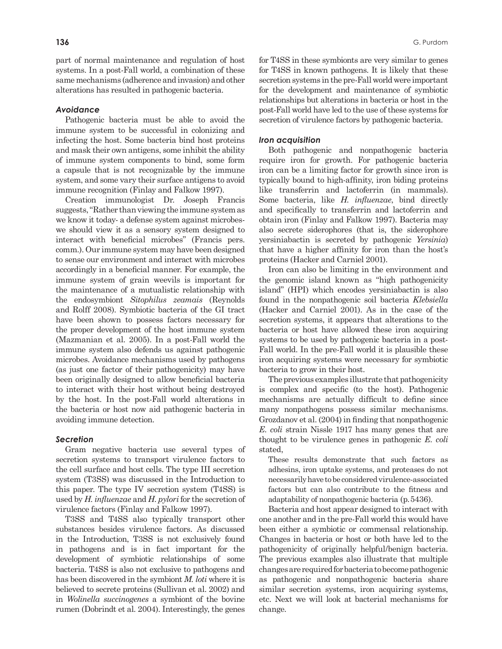part of normal maintenance and regulation of host systems. In a post-Fall world, a combination of these same mechanisms (adherence and invasion) and other alterations has resulted in pathogenic bacteria.

#### *Avoidance*

Pathogenic bacteria must be able to avoid the immune system to be successful in colonizing and infecting the host. Some bacteria bind host proteins and mask their own antigens, some inhibit the ability of immune system components to bind, some form a capsule that is not recognizable by the immune system, and some vary their surface antigens to avoid immune recognition (Finlay and Falkow 1997).

Creation immunologist Dr. Joseph Francis suggests, "Rather than viewing the immune system as we know it today- a defense system against microbeswe should view it as a sensory system designed to interact with beneficial microbes" (Francis pers. comm.). Our immune system may have been designed to sense our environment and interact with microbes accordingly in a beneficial manner. For example, the immune system of grain weevils is important for the maintenance of a mutualistic relationship with the endosymbiont *Sitophilus zeamais* (Reynolds and Rolff 2008). Symbiotic bacteria of the GI tract have been shown to possess factors necessary for the proper development of the host immune system (Mazmanian et al. 2005). In a post-Fall world the immune system also defends us against pathogenic microbes. Avoidance mechanisms used by pathogens (as just one factor of their pathogenicity) may have been originally designed to allow beneficial bacteria to interact with their host without being destroyed by the host. In the post-Fall world alterations in the bacteria or host now aid pathogenic bacteria in avoiding immune detection.

#### *Secretion*

Gram negative bacteria use several types of secretion systems to transport virulence factors to the cell surface and host cells. The type III secretion system (T3SS) was discussed in the Introduction to this paper. The type IV secretion system (T4SS) is used by *H. influenzae* and *H. pylori* for the secretion of virulence factors (Finlay and Falkow 1997).

T3SS and T4SS also typically transport other substances besides virulence factors. As discussed in the Introduction, T3SS is not exclusively found in pathogens and is in fact important for the development of symbiotic relationships of some bacteria. T4SS is also not exclusive to pathogens and has been discovered in the symbiont *M. loti* where it is believed to secrete proteins (Sullivan et al. 2002) and in *Wolinella succinogenes* a symbiont of the bovine rumen (Dobrindt et al. 2004). Interestingly, the genes for T4SS in these symbionts are very similar to genes for T4SS in known pathogens. It is likely that these secretion systems in the pre-Fall world were important for the development and maintenance of symbiotic relationships but alterations in bacteria or host in the post-Fall world have led to the use of these systems for secretion of virulence factors by pathogenic bacteria.

#### *Iron acquisition*

Both pathogenic and nonpathogenic bacteria require iron for growth. For pathogenic bacteria iron can be a limiting factor for growth since iron is typically bound to high-affinity, iron biding proteins like transferrin and lactoferrin (in mammals). Some bacteria, like *H. influenzae*, bind directly and specifically to transferrin and lactoferrin and obtain iron (Finlay and Falkow 1997). Bacteria may also secrete siderophores (that is, the siderophore yersiniabactin is secreted by pathogenic *Yersinia*) that have a higher affinity for iron than the host's proteins (Hacker and Carniel 2001).

Iron can also be limiting in the environment and the genomic island known as "high pathogenicity island" (HPI) which encodes yersiniabactin is also found in the nonpathogenic soil bacteria *Klebsiella* (Hacker and Carniel 2001). As in the case of the secretion systems, it appears that alterations to the bacteria or host have allowed these iron acquiring systems to be used by pathogenic bacteria in a post-Fall world. In the pre-Fall world it is plausible these iron acquiring systems were necessary for symbiotic bacteria to grow in their host.

The previous examples illustrate that pathogenicity is complex and specific (to the host). Pathogenic mechanisms are actually difficult to define since many nonpathogens possess similar mechanisms. Grozdanov et al. (2004) in finding that nonpathogenic *E. coli* strain Nissle 1917 has many genes that are thought to be virulence genes in pathogenic *E. coli*  stated,

These results demonstrate that such factors as adhesins, iron uptake systems, and proteases do not necessarily have to be considered virulence-associated factors but can also contribute to the fitness and adaptability of nonpathogenic bacteria (p. 5436).

Bacteria and host appear designed to interact with one another and in the pre-Fall world this would have been either a symbiotic or commensal relationship. Changes in bacteria or host or both have led to the pathogenicity of originally helpful/benign bacteria. The previous examples also illustrate that multiple changes are required for bacteria to become pathogenic as pathogenic and nonpathogenic bacteria share similar secretion systems, iron acquiring systems, etc. Next we will look at bacterial mechanisms for change.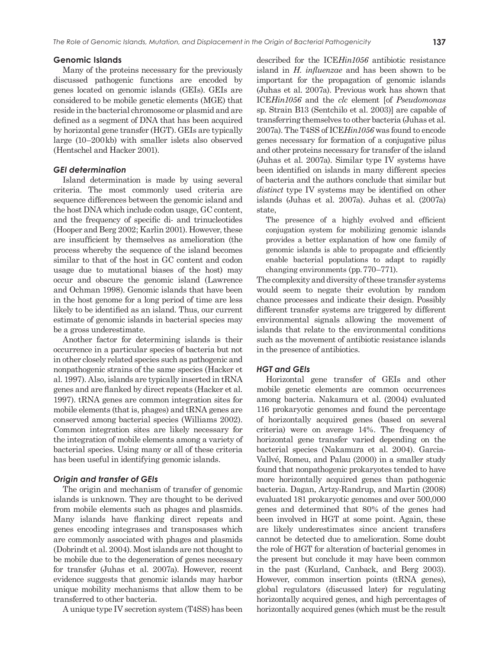#### **Genomic Islands**

Many of the proteins necessary for the previously discussed pathogenic functions are encoded by genes located on genomic islands (GEIs). GEIs are considered to be mobile genetic elements (MGE) that reside in the bacterial chromosome or plasmid and are defined as a segment of DNA that has been acquired by horizontal gene transfer (HGT). GEIs are typically large (10–200 kb) with smaller islets also observed (Hentschel and Hacker 2001).

#### *GEI determination*

Island determination is made by using several criteria. The most commonly used criteria are sequence differences between the genomic island and the host DNA which include codon usage, GC content, and the frequency of specific di- and trinucleotides (Hooper and Berg 2002; Karlin 2001). However, these are insufficient by themselves as amelioration (the process whereby the sequence of the island becomes similar to that of the host in GC content and codon usage due to mutational biases of the host) may occur and obscure the genomic island (Lawrence and Ochman 1998). Genomic islands that have been in the host genome for a long period of time are less likely to be identified as an island. Thus, our current estimate of genomic islands in bacterial species may be a gross underestimate.

Another factor for determining islands is their occurrence in a particular species of bacteria but not in other closely related species such as pathogenic and nonpathogenic strains of the same species (Hacker et al. 1997). Also, islands are typically inserted in tRNA genes and are flanked by direct repeats (Hacker et al. 1997). tRNA genes are common integration sites for mobile elements (that is, phages) and tRNA genes are conserved among bacterial species (Williams 2002). Common integration sites are likely necessary for the integration of mobile elements among a variety of bacterial species. Using many or all of these criteria has been useful in identifying genomic islands.

## *Origin and transfer of GEIs*

The origin and mechanism of transfer of genomic islands is unknown. They are thought to be derived from mobile elements such as phages and plasmids. Many islands have flanking direct repeats and genes encoding integrases and transposases which are commonly associated with phages and plasmids (Dobrindt et al. 2004). Most islands are not thought to be mobile due to the degeneration of genes necessary for transfer (Juhas et al. 2007a). However, recent evidence suggests that genomic islands may harbor unique mobility mechanisms that allow them to be transferred to other bacteria.

A unique type IV secretion system (T4SS) has been

described for the ICE*Hin1056* antibiotic resistance island in *H. influenzae* and has been shown to be important for the propagation of genomic islands (Juhas et al. 2007a). Previous work has shown that ICE*Hin1056* and the *clc* element [of *Pseudomonas* sp. Strain B13 (Sentchilo et al. 2003)] are capable of transferring themselves to other bacteria (Juhas et al. 2007a). The T4SS of ICE*Hin1056* was found to encode genes necessary for formation of a conjugative pilus and other proteins necessary for transfer of the island (Juhas et al. 2007a). Similar type IV systems have been identified on islands in many different species of bacteria and the authors conclude that similar but *distinct* type IV systems may be identified on other islands (Juhas et al. 2007a). Juhas et al. (2007a) state,

The presence of a highly evolved and efficient conjugation system for mobilizing genomic islands provides a better explanation of how one family of genomic islands is able to propagate and efficiently enable bacterial populations to adapt to rapidly changing environments (pp. 770–771).

The complexity and diversity of these transfer systems would seem to negate their evolution by random chance processes and indicate their design. Possibly different transfer systems are triggered by different environmental signals allowing the movement of islands that relate to the environmental conditions such as the movement of antibiotic resistance islands in the presence of antibiotics.

#### *HGT and GEIs*

Horizontal gene transfer of GEIs and other mobile genetic elements are common occurrences among bacteria. Nakamura et al. (2004) evaluated 116 prokaryotic genomes and found the percentage of horizontally acquired genes (based on several criteria) were on average 14%. The frequency of horizontal gene transfer varied depending on the bacterial species (Nakamura et al. 2004). Garcia-Vallvé, Romeu, and Palau (2000) in a smaller study found that nonpathogenic prokaryotes tended to have more horizontally acquired genes than pathogenic bacteria. Dagan, Artzy-Randrup, and Martin (2008) evaluated 181 prokaryotic genomes and over 500,000 genes and determined that 80% of the genes had been involved in HGT at some point. Again, these are likely underestimates since ancient transfers cannot be detected due to amelioration. Some doubt the role of HGT for alteration of bacterial genomes in the present but conclude it may have been common in the past (Kurland, Canback, and Berg 2003). However, common insertion points (tRNA genes), global regulators (discussed later) for regulating horizontally acquired genes, and high percentages of horizontally acquired genes (which must be the result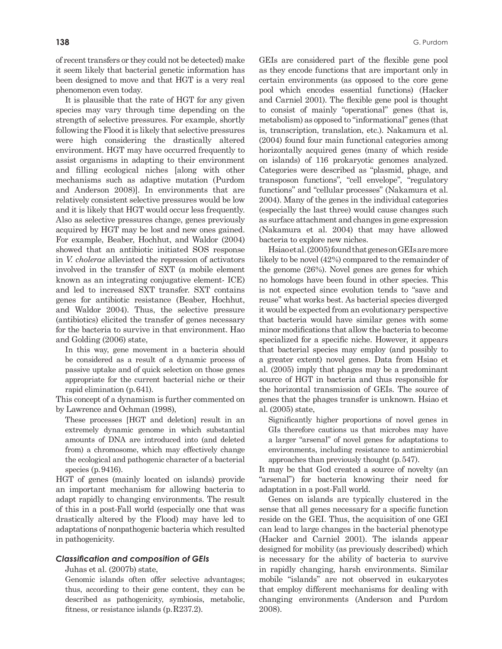of recent transfers or they could not be detected) make it seem likely that bacterial genetic information has been designed to move and that HGT is a very real phenomenon even today.

It is plausible that the rate of HGT for any given species may vary through time depending on the strength of selective pressures. For example, shortly following the Flood it is likely that selective pressures were high considering the drastically altered environment. HGT may have occurred frequently to assist organisms in adapting to their environment and filling ecological niches [along with other mechanisms such as adaptive mutation (Purdom and Anderson 2008)]. In environments that are relatively consistent selective pressures would be low and it is likely that HGT would occur less frequently. Also as selective pressures change, genes previously acquired by HGT may be lost and new ones gained. For example, Beaber, Hochhut, and Waldor (2004) showed that an antibiotic initiated SOS response in *V. cholerae* alleviated the repression of activators involved in the transfer of SXT (a mobile element known as an integrating conjugative element- ICE) and led to increased SXT transfer. SXT contains genes for antibiotic resistance (Beaber, Hochhut, and Waldor 2004). Thus, the selective pressure (antibiotics) elicited the transfer of genes necessary for the bacteria to survive in that environment. Hao and Golding (2006) state,

In this way, gene movement in a bacteria should be considered as a result of a dynamic process of passive uptake and of quick selection on those genes appropriate for the current bacterial niche or their rapid elimination (p. 641).

This concept of a dynamism is further commented on by Lawrence and Ochman (1998),

These processes [HGT and deletion] result in an extremely dynamic genome in which substantial amounts of DNA are introduced into (and deleted from) a chromosome, which may effectively change the ecological and pathogenic character of a bacterial species (p. 9416).

HGT of genes (mainly located on islands) provide an important mechanism for allowing bacteria to adapt rapidly to changing environments. The result of this in a post-Fall world (especially one that was drastically altered by the Flood) may have led to adaptations of nonpathogenic bacteria which resulted in pathogenicity.

# *Classification and composition of GEIs*

Juhas et al. (2007b) state,

Genomic islands often offer selective advantages; thus, according to their gene content, they can be described as pathogenicity, symbiosis, metabolic, fitness, or resistance islands (p. R237.2).

GEIs are considered part of the flexible gene pool as they encode functions that are important only in certain environments (as opposed to the core gene pool which encodes essential functions) (Hacker and Carniel 2001). The flexible gene pool is thought to consist of mainly "operational" genes (that is, metabolism) as opposed to "informational" genes (that is, transcription, translation, etc.). Nakamura et al. (2004) found four main functional categories among horizontally acquired genes (many of which reside on islands) of 116 prokaryotic genomes analyzed. Categories were described as "plasmid, phage, and transposon functions", "cell envelope", "regulatory functions" and "cellular processes" (Nakamura et al. 2004). Many of the genes in the individual categories (especially the last three) would cause changes such as surface attachment and changes in gene expression (Nakamura et al. 2004) that may have allowed bacteria to explore new niches.

Hsiao et al. (2005) found that genes on GEIs are more likely to be novel (42%) compared to the remainder of the genome (26%). Novel genes are genes for which no homologs have been found in other species. This is not expected since evolution tends to "save and reuse" what works best. As bacterial species diverged it would be expected from an evolutionary perspective that bacteria would have similar genes with some minor modifications that allow the bacteria to become specialized for a specific niche. However, it appears that bacterial species may employ (and possibly to a greater extent) novel genes. Data from Hsiao et al. (2005) imply that phages may be a predominant source of HGT in bacteria and thus responsible for the horizontal transmission of GEIs. The source of genes that the phages transfer is unknown. Hsiao et al. (2005) state,

Significantly higher proportions of novel genes in GIs therefore cautions us that microbes may have a larger "arsenal" of novel genes for adaptations to environments, including resistance to antimicrobial approaches than previously thought (p. 547).

It may be that God created a source of novelty (an "arsenal") for bacteria knowing their need for adaptation in a post-Fall world.

Genes on islands are typically clustered in the sense that all genes necessary for a specific function reside on the GEI. Thus, the acquisition of one GEI can lead to large changes in the bacterial phenotype (Hacker and Carniel 2001). The islands appear designed for mobility (as previously described) which is necessary for the ability of bacteria to survive in rapidly changing, harsh environments. Similar mobile "islands" are not observed in eukaryotes that employ different mechanisms for dealing with changing environments (Anderson and Purdom 2008).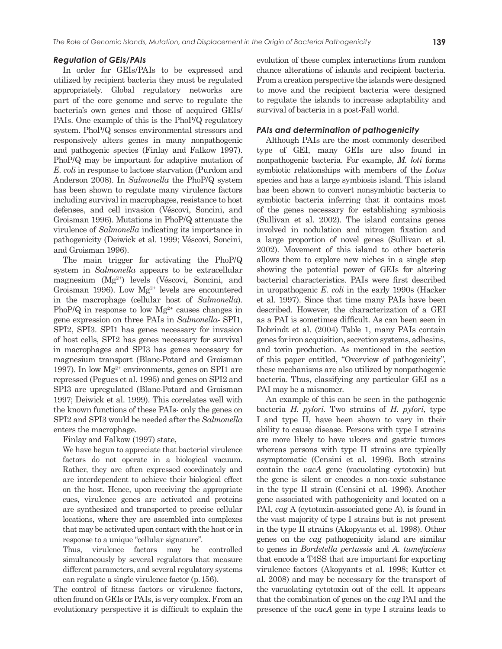In order for GEIs/PAIs to be expressed and utilized by recipient bacteria they must be regulated appropriately. Global regulatory networks are part of the core genome and serve to regulate the bacteria's own genes and those of acquired GEIs/ PAIs. One example of this is the PhoP/Q regulatory system. PhoP/Q senses environmental stressors and responsively alters genes in many nonpathogenic and pathogenic species (Finlay and Falkow 1997). PhoP/Q may be important for adaptive mutation of *E. coli* in response to lactose starvation (Purdom and Anderson 2008). In *Salmonella* the PhoP/Q system has been shown to regulate many virulence factors including survival in macrophages, resistance to host defenses, and cell invasion (Véscovi, Soncini, and Groisman 1996). Mutations in PhoP/Q attenuate the virulence of *Salmonella* indicating its importance in pathogenicity (Deiwick et al. 1999; Véscovi, Soncini, and Groisman 1996).

The main trigger for activating the PhoP/Q system in *Salmonella* appears to be extracellular magnesium (Mg2+) levels (Véscovi, Soncini, and Groisman 1996). Low  $Mg^{2+}$  levels are encountered in the macrophage (cellular host of *Salmonella*). PhoP/Q in response to low  $Mg^{2+}$  causes changes in gene expression on three PAIs in *Salmonella*- SPI1, SPI2, SPI3. SPI1 has genes necessary for invasion of host cells, SPI2 has genes necessary for survival in macrophages and SPI3 has genes necessary for magnesium transport (Blanc-Potard and Groisman 1997). In low  $Mg^{2+}$  environments, genes on SPI1 are repressed (Pegues et al. 1995) and genes on SPI2 and SPI3 are upregulated (Blanc-Potard and Groisman 1997; Deiwick et al. 1999). This correlates well with the known functions of these PAIs- only the genes on SPI2 and SPI3 would be needed after the *Salmonella* enters the macrophage.

Finlay and Falkow (1997) state,

We have begun to appreciate that bacterial virulence factors do not operate in a biological vacuum. Rather, they are often expressed coordinately and are interdependent to achieve their biological effect on the host. Hence, upon receiving the appropriate cues, virulence genes are activated and proteins are synthesized and transported to precise cellular locations, where they are assembled into complexes that may be activated upon contact with the host or in response to a unique "cellular signature".

Thus, virulence factors may be controlled simultaneously by several regulators that measure different parameters, and several regulatory systems can regulate a single virulence factor (p. 156).

The control of fitness factors or virulence factors, often found on GEIs or PAIs, is very complex. From an evolutionary perspective it is difficult to explain the evolution of these complex interactions from random chance alterations of islands and recipient bacteria. From a creation perspective the islands were designed to move and the recipient bacteria were designed to regulate the islands to increase adaptability and survival of bacteria in a post-Fall world.

# *PAIs and determination of pathogenicity*

Although PAIs are the most commonly described type of GEI, many GEIs are also found in nonpathogenic bacteria. For example, *M. loti* forms symbiotic relationships with members of the *Lotus* species and has a large symbiosis island. This island has been shown to convert nonsymbiotic bacteria to symbiotic bacteria inferring that it contains most of the genes necessary for establishing symbiosis (Sullivan et al. 2002). The island contains genes involved in nodulation and nitrogen fixation and a large proportion of novel genes (Sullivan et al. 2002). Movement of this island to other bacteria allows them to explore new niches in a single step showing the potential power of GEIs for altering bacterial characteristics. PAIs were first described in uropathogenic *E. coli* in the early 1990s (Hacker et al. 1997). Since that time many PAIs have been described. However, the characterization of a GEI as a PAI is sometimes difficult. As can been seen in Dobrindt et al. (2004) Table 1, many PAIs contain genes for iron acquisition, secretion systems, adhesins, and toxin production. As mentioned in the section of this paper entitled, "Overview of pathogenicity", these mechanisms are also utilized by nonpathogenic bacteria. Thus, classifying any particular GEI as a PAI may be a misnomer.

An example of this can be seen in the pathogenic bacteria *H. pylori*. Two strains of *H. pylori*, type I and type II, have been shown to vary in their ability to cause disease. Persons with type I strains are more likely to have ulcers and gastric tumors whereas persons with type II strains are typically asymptomatic (Censini et al. 1996). Both strains contain the *vacA* gene (vacuolating cytotoxin) but the gene is silent or encodes a non-toxic substance in the type II strain (Censini et al. 1996). Another gene associated with pathogenicity and located on a PAI, *cag* A (cytotoxin-associated gene A), is found in the vast majority of type I strains but is not present in the type II strains (Akopyants et al. 1998). Other genes on the *cag* pathogenicity island are similar to genes in *Bordetella pertussis* and *A. tumefaciens* that encode a T4SS that are important for exporting virulence factors (Akopyants et al. 1998; Kutter et al. 2008) and may be necessary for the transport of the vacuolating cytotoxin out of the cell. It appears that the combination of genes on the *cag* PAI and the presence of the *vacA* gene in type I strains leads to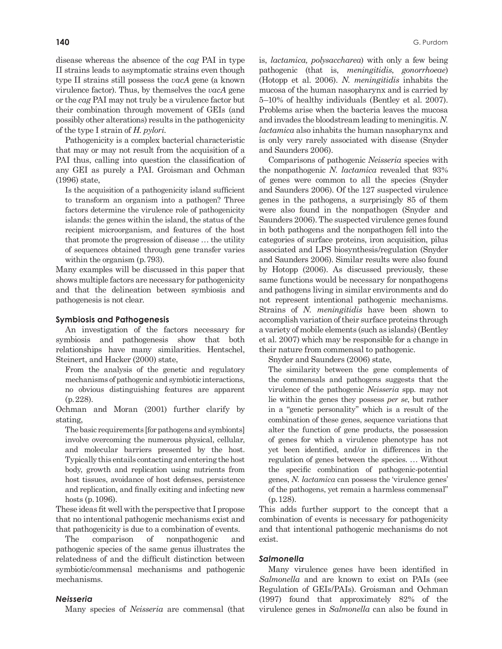disease whereas the absence of the *cag* PAI in type II strains leads to asymptomatic strains even though type II strains still possess the *vacA* gene (a known virulence factor). Thus, by themselves the *vacA* gene or the *cag* PAI may not truly be a virulence factor but their combination through movement of GEIs (and possibly other alterations) results in the pathogenicity of the type I strain of *H. pylori*.

Pathogenicity is a complex bacterial characteristic that may or may not result from the acquisition of a PAI thus, calling into question the classification of any GEI as purely a PAI. Groisman and Ochman (1996) state,

Is the acquisition of a pathogenicity island sufficient to transform an organism into a pathogen? Three factors determine the virulence role of pathogenicity islands: the genes within the island, the status of the recipient microorganism, and features of the host that promote the progression of disease ... the utility of sequences obtained through gene transfer varies within the organism (p. 793).

Many examples will be discussed in this paper that shows multiple factors are necessary for pathogenicity and that the delineation between symbiosis and pathogenesis is not clear.

#### **Symbiosis and Pathogenesis**

An investigation of the factors necessary for symbiosis and pathogenesis show that both relationships have many similarities. Hentschel, Steinert, and Hacker (2000) state,

From the analysis of the genetic and regulatory mechanisms of pathogenic and symbiotic interactions, no obvious distinguishing features are apparent (p. 228).

Ochman and Moran (2001) further clarify by stating,

The basic requirements [for pathogens and symbionts] involve overcoming the numerous physical, cellular, and molecular barriers presented by the host. Typically this entails contacting and entering the host body, growth and replication using nutrients from host tissues, avoidance of host defenses, persistence and replication, and finally exiting and infecting new hosts (p. 1096).

These ideas fit well with the perspective that I propose that no intentional pathogenic mechanisms exist and that pathogenicity is due to a combination of events.

The comparison of nonpathogenic and pathogenic species of the same genus illustrates the relatedness of and the difficult distinction between symbiotic/commensal mechanisms and pathogenic mechanisms.

#### *Neisseria*

Many species of *Neisseria* are commensal (that

is, *lactamica, polysaccharea*) with only a few being pathogenic (that is, *meningitidis*, *gonorrhoeae*) (Hotopp et al. 2006). *N. meningitidis* inhabits the mucosa of the human nasopharynx and is carried by 5–10% of healthy individuals (Bentley et al. 2007). Problems arise when the bacteria leaves the mucosa and invades the bloodstream leading to meningitis. *N. lactamica* also inhabits the human nasopharynx and is only very rarely associated with disease (Snyder and Saunders 2006).

Comparisons of pathogenic *Neisseria* species with the nonpathogenic *N. lactamica* revealed that 93% of genes were common to all the species (Snyder and Saunders 2006). Of the 127 suspected virulence genes in the pathogens, a surprisingly 85 of them were also found in the nonpathogen (Snyder and Saunders 2006). The suspected virulence genes found in both pathogens and the nonpathogen fell into the categories of surface proteins, iron acquisition, pilus associated and LPS biosynthesis/regulation (Snyder and Saunders 2006). Similar results were also found by Hotopp (2006). As discussed previously, these same functions would be necessary for nonpathogens and pathogens living in similar environments and do not represent intentional pathogenic mechanisms. Strains of *N. meningitidis* have been shown to accomplish variation of their surface proteins through a variety of mobile elements (such as islands) (Bentley et al. 2007) which may be responsible for a change in their nature from commensal to pathogenic.

Snyder and Saunders (2006) state,

The similarity between the gene complements of the commensals and pathogens suggests that the virulence of the pathogenic *Neisseria* spp. may not lie within the genes they possess *per se*, but rather in a "genetic personality" which is a result of the combination of these genes, sequence variations that alter the function of gene products, the possession of genes for which a virulence phenotype has not yet been identified, and/or in differences in the regulation of genes between the species. ... Without the specific combination of pathogenic-potential genes, *N. lactamica* can possess the 'virulence genes' of the pathogens, yet remain a harmless commensal" (p. 128).

This adds further support to the concept that a combination of events is necessary for pathogenicity and that intentional pathogenic mechanisms do not exist.

# *Salmonella*

Many virulence genes have been identified in *Salmonella* and are known to exist on PAIs (see Regulation of GEIs/PAIs). Groisman and Ochman (1997) found that approximately 82% of the virulence genes in *Salmonella* can also be found in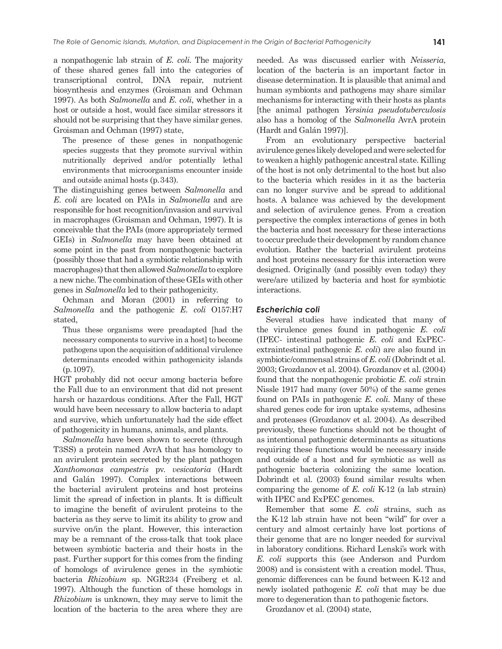a nonpathogenic lab strain of *E. coli*. The majority of these shared genes fall into the categories of transcriptional control, DNA repair, nutrient biosynthesis and enzymes (Groisman and Ochman 1997). As both *Salmonella* and *E. coli*, whether in a host or outside a host, would face similar stressors it should not be surprising that they have similar genes. Groisman and Ochman (1997) state,

The presence of these genes in nonpathogenic species suggests that they promote survival within nutritionally deprived and/or potentially lethal environments that microorganisms encounter inside and outside animal hosts (p. 343).

The distinguishing genes between *Salmonella* and *E. coli* are located on PAIs in *Salmonella* and are responsible for host recognition/invasion and survival in macrophages (Groisman and Ochman, 1997). It is conceivable that the PAIs (more appropriately termed GEIs) in *Salmonella* may have been obtained at some point in the past from nonpathogenic bacteria (possibly those that had a symbiotic relationship with macrophages) that then allowed *Salmonella* to explore a new niche. The combination of these GEIs with other genes in *Salmonella* led to their pathogenicity.

Ochman and Moran (2001) in referring to *Salmonella* and the pathogenic *E. coli* O157:H7 stated,

Thus these organisms were preadapted [had the necessary components to survive in a host] to become pathogens upon the acquisition of additional virulence determinants encoded within pathogenicity islands (p. 1097).

HGT probably did not occur among bacteria before the Fall due to an environment that did not present harsh or hazardous conditions. After the Fall, HGT would have been necessary to allow bacteria to adapt and survive, which unfortunately had the side effect of pathogenicity in humans, animals, and plants.

*Salmonella* have been shown to secrete (through T3SS) a protein named AvrA that has homology to an avirulent protein secreted by the plant pathogen *Xanthomonas campestris* pv. *vesicatoria* (Hardt and Galán 1997). Complex interactions between the bacterial avirulent proteins and host proteins limit the spread of infection in plants. It is difficult to imagine the benefit of avirulent proteins to the bacteria as they serve to limit its ability to grow and survive on/in the plant. However, this interaction may be a remnant of the cross-talk that took place between symbiotic bacteria and their hosts in the past. Further support for this comes from the finding of homologs of avirulence genes in the symbiotic bacteria *Rhizobium* sp. NGR234 (Freiberg et al. 1997). Although the function of these homologs in *Rhizobium* is unknown, they may serve to limit the location of the bacteria to the area where they are needed. As was discussed earlier with *Neisseria*, location of the bacteria is an important factor in disease determination. It is plausible that animal and human symbionts and pathogens may share similar mechanisms for interacting with their hosts as plants [the animal pathogen *Yersinia pseudotuberculosis* also has a homolog of the *Salmonella* AvrA protein (Hardt and Galán 1997)].

From an evolutionary perspective bacterial avirulence genes likely developed and were selected for to weaken a highly pathogenic ancestral state. Killing of the host is not only detrimental to the host but also to the bacteria which resides in it as the bacteria can no longer survive and be spread to additional hosts. A balance was achieved by the development and selection of avirulence genes. From a creation perspective the complex interactions of genes in both the bacteria and host necessary for these interactions to occur preclude their development by random chance evolution. Rather the bacterial avirulent proteins and host proteins necessary for this interaction were designed. Originally (and possibly even today) they were/are utilized by bacteria and host for symbiotic interactions.

#### *Escherichia coli*

Several studies have indicated that many of the virulence genes found in pathogenic *E. coli* (IPEC- intestinal pathogenic *E. coli* and ExPECextraintestinal pathogenic *E. coli*) are also found in symbiotic/commensal strains of *E. coli* (Dobrindt et al. 2003; Grozdanov et al. 2004). Grozdanov et al. (2004) found that the nonpathogenic probiotic *E. coli* strain Nissle 1917 had many (over 50%) of the same genes found on PAIs in pathogenic *E. coli*. Many of these shared genes code for iron uptake systems, adhesins and proteases (Grozdanov et al. 2004). As described previously, these functions should not be thought of as intentional pathogenic determinants as situations requiring these functions would be necessary inside and outside of a host and for symbiotic as well as pathogenic bacteria colonizing the same location. Dobrindt et al. (2003) found similar results when comparing the genome of *E. coli* K-12 (a lab strain) with IPEC and ExPEC genomes.

Remember that some *E. coli* strains, such as the K-12 lab strain have not been "wild" for over a century and almost certainly have lost portions of their genome that are no longer needed for survival in laboratory conditions. Richard Lenski's work with *E. coli* supports this (see Anderson and Purdom 2008) and is consistent with a creation model. Thus, genomic differences can be found between K-12 and newly isolated pathogenic *E. coli* that may be due more to degeneration than to pathogenic factors.

Grozdanov et al. (2004) state,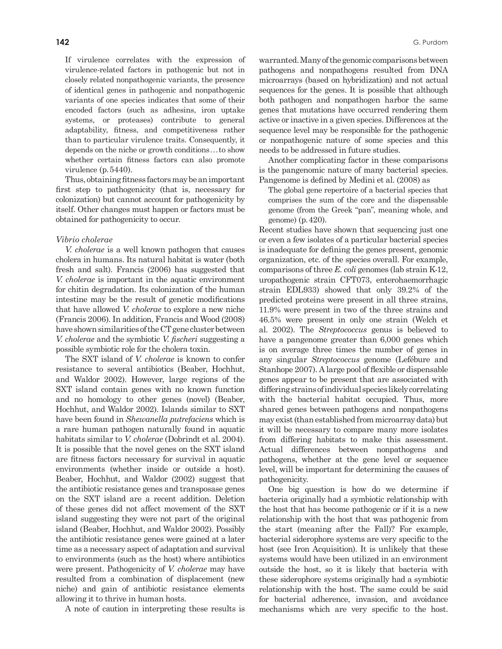If virulence correlates with the expression of virulence-related factors in pathogenic but not in closely related nonpathogenic variants, the presence of identical genes in pathogenic and nonpathogenic variants of one species indicates that some of their encoded factors (such as adhesins, iron uptake systems, or proteases) contribute to general adaptability, fitness, and competitiveness rather than to particular virulence traits. Consequently, it depends on the niche or growth conditions . . . to show whether certain fitness factors can also promote virulence (p. 5440).

Thus, obtaining fitness factors may be an important first step to pathogenicity (that is, necessary for colonization) but cannot account for pathogenicity by itself. Other changes must happen or factors must be obtained for pathogenicity to occur.

#### *Vibrio cholerae*

*V. cholerae* is a well known pathogen that causes cholera in humans. Its natural habitat is water (both fresh and salt). Francis (2006) has suggested that *V. cholerae* is important in the aquatic environment for chitin degradation. Its colonization of the human intestine may be the result of genetic modifications that have allowed *V. cholerae* to explore a new niche (Francis 2006). In addition, Francis and Wood (2008) have shown similarities of the CT gene cluster between *V. cholerae* and the symbiotic *V. fischeri* suggesting a possible symbiotic role for the cholera toxin.

The SXT island of *V. cholerae* is known to confer resistance to several antibiotics (Beaber, Hochhut, and Waldor 2002). However, large regions of the SXT island contain genes with no known function and no homology to other genes (novel) (Beaber, Hochhut, and Waldor 2002). Islands similar to SXT have been found in *Shewanella putrefaciens* which is a rare human pathogen naturally found in aquatic habitats similar to *V. cholerae* (Dobrindt et al. 2004). It is possible that the novel genes on the SXT island are fitness factors necessary for survival in aquatic environments (whether inside or outside a host). Beaber, Hochhut, and Waldor (2002) suggest that the antibiotic resistance genes and transposase genes on the SXT island are a recent addition. Deletion of these genes did not affect movement of the SXT island suggesting they were not part of the original island (Beaber, Hochhut, and Waldor 2002). Possibly the antibiotic resistance genes were gained at a later time as a necessary aspect of adaptation and survival to environments (such as the host) where antibiotics were present. Pathogenicity of *V. cholerae* may have resulted from a combination of displacement (new niche) and gain of antibiotic resistance elements allowing it to thrive in human hosts.

A note of caution in interpreting these results is

warranted. Many of the genomic comparisons between pathogens and nonpathogens resulted from DNA microarrays (based on hybridization) and not actual sequences for the genes. It is possible that although both pathogen and nonpathogen harbor the same genes that mutations have occurred rendering them active or inactive in a given species. Differences at the sequence level may be responsible for the pathogenic or nonpathogenic nature of some species and this needs to be addressed in future studies.

Another complicating factor in these comparisons is the pangenomic nature of many bacterial species. Pangenome is defined by Medini et al. (2008) as

The global gene repertoire of a bacterial species that comprises the sum of the core and the dispensable genome (from the Greek "pan", meaning whole, and genome) (p. 420).

Recent studies have shown that sequencing just one or even a few isolates of a particular bacterial species is inadequate for defining the genes present, genomic organization, etc. of the species overall. For example, comparisons of three *E. coli* genomes (lab strain K-12, uropathogenic strain CFT073, enterohaemorrhagic strain EDL933) showed that only 39.2% of the predicted proteins were present in all three strains, 11.9% were present in two of the three strains and 46.5% were present in only one strain (Welch et al. 2002). The *Streptococcus* genus is believed to have a pangenome greater than 6,000 genes which is on average three times the number of genes in any singular *Streptococcus* genome (Lefébure and Stanhope 2007). A large pool of flexible or dispensable genes appear to be present that are associated with differing strains of individual species likely correlating with the bacterial habitat occupied. Thus, more shared genes between pathogens and nonpathogens may exist (than established from microarray data) but it will be necessary to compare many more isolates from differing habitats to make this assessment. Actual differences between nonpathogens and pathogens, whether at the gene level or sequence level, will be important for determining the causes of pathogenicity.

One big question is how do we determine if bacteria originally had a symbiotic relationship with the host that has become pathogenic or if it is a new relationship with the host that was pathogenic from the start (meaning after the Fall)? For example, bacterial siderophore systems are very specific to the host (see Iron Acquisition). It is unlikely that these systems would have been utilized in an environment outside the host, so it is likely that bacteria with these siderophore systems originally had a symbiotic relationship with the host. The same could be said for bacterial adherence, invasion, and avoidance mechanisms which are very specific to the host.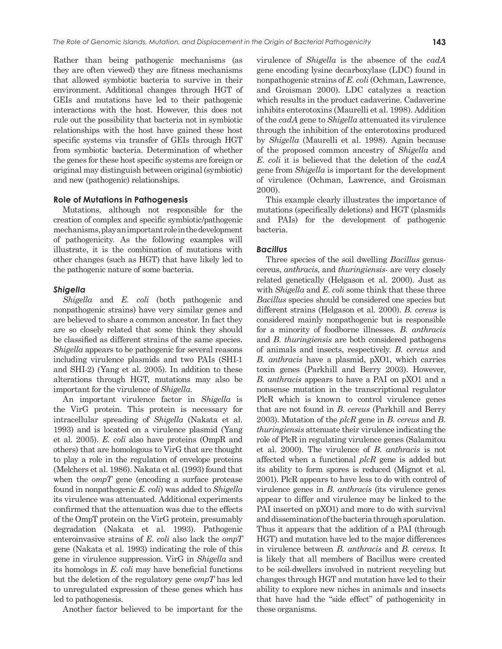Rather than being pathogenic mechanisms (as they are often viewed) they are fitness mechanisms that allowed symbiotic bacteria to survive in their environment. Additional changes through HGT of GEIs and mutations have led to their pathogenic interactions with the host. However, this does not rule out the possibility that bacteria not in symbiotic relationships with the host have gained these host specific systems via transfer of GEIs through HGT from symbiotic bacteria. Determination of whether the genes for these host specific systems are foreign or original may distinguish between original (symbiotic) and new (pathogenic) relationships.

#### **Role of Mutations in Pathogenesis**

Mutations, although not responsible for the creation of complex and specific symbiotic/pathogenic mechanisms, play an important role in the development of pathogenicity. As the following examples will illustrate, it is the combination of mutations with other changes (such as HGT) that have likely led to the pathogenic nature of some bacteria.

#### *Shigella*

*Shigella* and *E. coli* (both pathogenic and nonpathogenic strains) have very similar genes and are believed to share a common ancestor. In fact they are so closely related that some think they should be classified as different strains of the same species. *Shigella* appears to be pathogenic for several reasons including virulence plasmids and two PAIs (SHI-1 and SHI-2) (Yang et al. 2005). In addition to these alterations through HGT, mutations may also be important for the virulence of *Shigella*.

An important virulence factor in *Shigella* is the VirG protein. This protein is necessary for intracellular spreading of *Shigella* (Nakata et al. 1993) and is located on a virulence plasmid (Yang et al. 2005). *E. coli* also have proteins (OmpR and others) that are homologous to VirG that are thought to play a role in the regulation of envelope proteins (Melchers et al. 1986). Nakata et al. (1993) found that when the *ompT* gene (encoding a surface protease found in nonpathogenic *E. coli*) was added to *Shigella* its virulence was attenuated. Additional experiments confirmed that the attenuation was due to the effects of the OmpT protein on the VirG protein, presumably degradation (Nakata et al. 1993). Pathogenic enteroinvasive strains of *E. coli* also lack the *ompT* gene (Nakata et al. 1993) indicating the role of this gene in virulence suppression. VirG in *Shigella* and its homologs in *E. coli* may have beneficial functions but the deletion of the regulatory gene *ompT* has led to unregulated expression of these genes which has led to pathogenesis.

Another factor believed to be important for the

virulence of *Shigella* is the absence of the *cadA* gene encoding lysine decarboxylase (LDC) found in nonpathogenic strains of *E. coli* (Ochman, Lawrence, and Groisman 2000). LDC catalyzes a reaction which results in the product cadaverine. Cadaverine inhibits enterotoxins (Maurelli et al. 1998). Addition of the *cadA* gene to *Shigella* attenuated its virulence through the inhibition of the enterotoxins produced by *Shigella* (Maurelli et al. 1998). Again because of the proposed common ancestry of *Shigella* and *E. coli* it is believed that the deletion of the *cadA* gene from *Shigella* is important for the development of virulence (Ochman, Lawrence, and Groisman 2000).

This example clearly illustrates the importance of mutations (specifically deletions) and HGT (plasmids and PAIs) for the development of pathogenic bacteria.

#### *Bacillus*

Three species of the soil dwelling *Bacillus* genuscereus, *anthracis*, and *thuringiensis-* are very closely related genetically (Helgason et al. 2000). Just as with *Shigella* and *E. coli* some think that these three *Bacillus* species should be considered one species but different strains (Helgason et al. 2000). *B. cereus* is considered mainly nonpathogenic but is responsible for a minority of foodborne illnesses. *B. anthracis* and *B. thuringiensis* are both considered pathogens of animals and insects, respectively. *B. cereus* and *B. anthracis* have a plasmid, pXO1, which carries toxin genes (Parkhill and Berry 2003). However, *B. anthracis* appears to have a PAI on pXO1 and a nonsense mutation in the transcriptional regulator PlcR which is known to control virulence genes that are not found in *B. cereus* (Parkhill and Berry 2003). Mutation of the *plcR* gene in *B. cereus* and *B. thuringiensis* attenuate their virulence indicating the role of PlcR in regulating virulence genes (Salamitou et al. 2000). The virulence of *B. anthracis* is not affected when a functional *plcR* gene is added but its ability to form spores is reduced (Mignot et al. 2001). PlcR appears to have less to do with control of virulence genes in *B. anthracis* (its virulence genes appear to differ and virulence may be linked to the PAI inserted on pXO1) and more to do with survival and dissemination of the bacteria through sporulation. Thus it appears that the addition of a PAI (through HGT) and mutation have led to the major differences in virulence between *B. anthracis* and *B. cereus*. It is likely that all members of Bacillus were created to be soil-dwellers involved in nutrient recycling but changes through HGT and mutation have led to their ability to explore new niches in animals and insects that have had the "side effect" of pathogenicity in these organisms.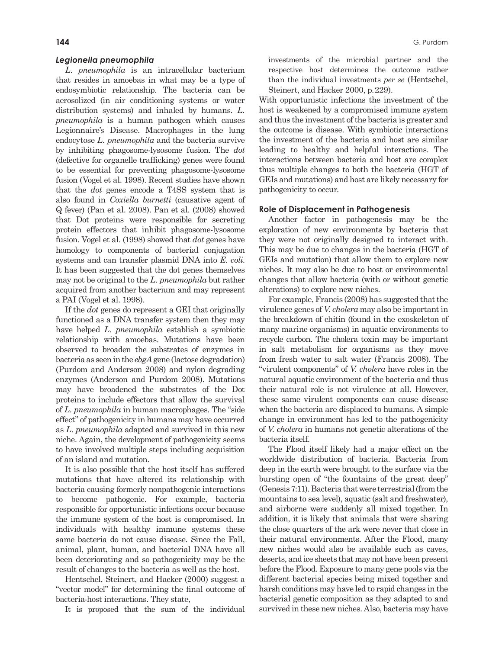#### *Legionella pneumophila*

*L. pneumophila* is an intracellular bacterium that resides in amoebas in what may be a type of endosymbiotic relationship. The bacteria can be aerosolized (in air conditioning systems or water distribution systems) and inhaled by humans. *L. pneumophila* is a human pathogen which causes Legionnaire's Disease. Macrophages in the lung endocytose *L. pneumophila* and the bacteria survive by inhibiting phagosome-lysosome fusion. The *dot* (defective for organelle trafficking) genes were found to be essential for preventing phagosome-lysosome fusion (Vogel et al. 1998). Recent studies have shown that the *dot* genes encode a T4SS system that is also found in *Coxiella burnetti* (causative agent of Q fever) (Pan et al. 2008). Pan et al. (2008) showed that Dot proteins were responsible for secreting protein effectors that inhibit phagosome-lysosome fusion. Vogel et al. (1998) showed that *dot* genes have homology to components of bacterial conjugation systems and can transfer plasmid DNA into *E. coli*. It has been suggested that the dot genes themselves may not be original to the *L. pneumophila* but rather acquired from another bacterium and may represent a PAI (Vogel et al. 1998).

If the *dot* genes do represent a GEI that originally functioned as a DNA transfer system then they may have helped *L. pneumophila* establish a symbiotic relationship with amoebas. Mutations have been observed to broaden the substrates of enzymes in bacteria as seen in the *ebgA* gene (lactose degradation) (Purdom and Anderson 2008) and nylon degrading enzymes (Anderson and Purdom 2008). Mutations may have broadened the substrates of the Dot proteins to include effectors that allow the survival of *L. pneumophila* in human macrophages. The "side effect" of pathogenicity in humans may have occurred as *L. pneumophila* adapted and survived in this new niche. Again, the development of pathogenicity seems to have involved multiple steps including acquisition of an island and mutation.

It is also possible that the host itself has suffered mutations that have altered its relationship with bacteria causing formerly nonpathogenic interactions to become pathogenic. For example, bacteria responsible for opportunistic infections occur because the immune system of the host is compromised. In individuals with healthy immune systems these same bacteria do not cause disease. Since the Fall, animal, plant, human, and bacterial DNA have all been deteriorating and so pathogenicity may be the result of changes to the bacteria as well as the host.

Hentschel, Steinert, and Hacker (2000) suggest a "vector model" for determining the final outcome of bacteria-host interactions. They state,

It is proposed that the sum of the individual

investments of the microbial partner and the respective host determines the outcome rather than the individual investments *per se* (Hentschel, Steinert, and Hacker 2000, p. 229).

With opportunistic infections the investment of the host is weakened by a compromised immune system and thus the investment of the bacteria is greater and the outcome is disease. With symbiotic interactions the investment of the bacteria and host are similar leading to healthy and helpful interactions. The interactions between bacteria and host are complex thus multiple changes to both the bacteria (HGT of GEIs and mutations) and host are likely necessary for pathogenicity to occur.

#### **Role of Displacement in Pathogenesis**

Another factor in pathogenesis may be the exploration of new environments by bacteria that they were not originally designed to interact with. This may be due to changes in the bacteria (HGT of GEIs and mutation) that allow them to explore new niches. It may also be due to host or environmental changes that allow bacteria (with or without genetic alterations) to explore new niches.

For example, Francis (2008) has suggested that the virulence genes of *V. cholera* may also be important in the breakdown of chitin (found in the exoskeleton of many marine organisms) in aquatic environments to recycle carbon. The cholera toxin may be important in salt metabolism for organisms as they move from fresh water to salt water (Francis 2008). The "virulent components" of *V. cholera* have roles in the natural aquatic environment of the bacteria and thus their natural role is not virulence at all. However, these same virulent components can cause disease when the bacteria are displaced to humans. A simple change in environment has led to the pathogenicity of *V. cholera* in humans not genetic alterations of the bacteria itself.

The Flood itself likely had a major effect on the worldwide distribution of bacteria. Bacteria from deep in the earth were brought to the surface via the bursting open of "the fountains of the great deep" (Genesis 7:11). Bacteria that were terrestrial (from the mountains to sea level), aquatic (salt and freshwater), and airborne were suddenly all mixed together. In addition, it is likely that animals that were sharing the close quarters of the ark were never that close in their natural environments. After the Flood, many new niches would also be available such as caves, deserts, and ice sheets that may not have been present before the Flood. Exposure to many gene pools via the different bacterial species being mixed together and harsh conditions may have led to rapid changes in the bacterial genetic composition as they adapted to and survived in these new niches. Also, bacteria may have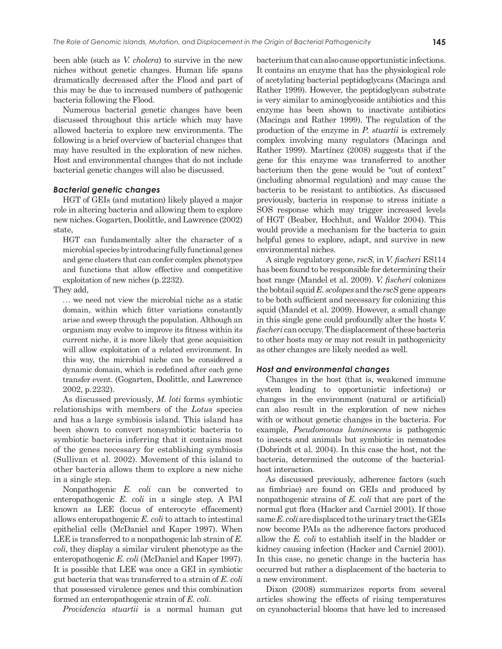been able (such as *V. cholera*) to survive in the new niches without genetic changes. Human life spans dramatically decreased after the Flood and part of this may be due to increased numbers of pathogenic bacteria following the Flood.

Numerous bacterial genetic changes have been discussed throughout this article which may have allowed bacteria to explore new environments. The following is a brief overview of bacterial changes that may have resulted in the exploration of new niches. Host and environmental changes that do not include bacterial genetic changes will also be discussed.

#### *Bacterial genetic changes*

HGT of GEIs (and mutation) likely played a major role in altering bacteria and allowing them to explore new niches. Gogarten, Doolittle, and Lawrence (2002) state,

HGT can fundamentally alter the character of a microbial species by introducing fully functional genes and gene clusters that can confer complex phenotypes and functions that allow effective and competitive exploitation of new niches (p. 2232).

They add,

... we need not view the microbial niche as a static domain, within which fitter variations constantly arise and sweep through the population. Although an organism may evolve to improve its fitness within its current niche, it is more likely that gene acquisition will allow exploitation of a related environment. In this way, the microbial niche can be considered a dynamic domain, which is redefined after each gene transfer event. (Gogarten, Doolittle, and Lawrence 2002, p. 2232).

As discussed previously, *M. loti* forms symbiotic relationships with members of the *Lotus* species and has a large symbiosis island. This island has been shown to convert nonsymbiotic bacteria to symbiotic bacteria inferring that it contains most of the genes necessary for establishing symbiosis (Sullivan et al. 2002). Movement of this island to other bacteria allows them to explore a new niche in a single step.

Nonpathogenic *E. coli* can be converted to enteropathogenic *E. coli* in a single step. A PAI known as LEE (locus of enterocyte effacement) allows enteropathogenic *E. coli* to attach to intestinal epithelial cells (McDaniel and Kaper 1997). When LEE is transferred to a nonpathogenic lab strain of *E. coli*, they display a similar virulent phenotype as the enteropathogenic *E. coli* (McDaniel and Kaper 1997). It is possible that LEE was once a GEI in symbiotic gut bacteria that was transferred to a strain of *E. coli* that possessed virulence genes and this combination formed an enteropathogenic strain of *E. coli*.

*Providencia stuartii* is a normal human gut

bacterium that can also cause opportunistic infections. It contains an enzyme that has the physiological role of acetylating bacterial peptidoglycans (Macinga and Rather 1999). However, the peptidoglycan substrate is very similar to aminoglycoside antibiotics and this enzyme has been shown to inactivate antibiotics (Macinga and Rather 1999). The regulation of the production of the enzyme in *P. stuartii* is extremely complex involving many regulators (Macinga and Rather 1999). Martínez (2008) suggests that if the gene for this enzyme was transferred to another bacterium then the gene would be "out of context" (including abnormal regulation) and may cause the bacteria to be resistant to antibiotics. As discussed previously, bacteria in response to stress initiate a SOS response which may trigger increased levels of HGT (Beaber, Hochhut, and Waldor 2004). This would provide a mechanism for the bacteria to gain helpful genes to explore, adapt, and survive in new environmental niches.

A single regulatory gene, *rscS*, in *V. fischeri* ES114 has been found to be responsible for determining their host range (Mandel et al. 2009). *V. fischeri* colonizes the bobtail squid *E. scolopes* and the *rscS* gene appears to be both sufficient and necessary for colonizing this squid (Mandel et al. 2009). However, a small change in this single gene could profoundly alter the hosts *V. fischeri* can occupy. The displacement of these bacteria to other hosts may or may not result in pathogenicity as other changes are likely needed as well.

## *Host and environmental changes*

Changes in the host (that is, weakened immune system leading to opportunistic infections) or changes in the environment (natural or artificial) can also result in the exploration of new niches with or without genetic changes in the bacteria. For example, *Pseudomonas luminescens* is pathogenic to insects and animals but symbiotic in nematodes (Dobrindt et al. 2004). In this case the host, not the bacteria, determined the outcome of the bacterialhost interaction.

As discussed previously, adherence factors (such as fimbriae) are found on GEIs and produced by nonpathogenic strains of *E. coli* that are part of the normal gut flora (Hacker and Carniel 2001). If those same *E. coli* are displaced to the urinary tract the GEIs now become PAIs as the adherence factors produced allow the *E. coli* to establish itself in the bladder or kidney causing infection (Hacker and Carniel 2001). In this case, no genetic change in the bacteria has occurred but rather a displacement of the bacteria to a new environment.

Dixon (2008) summarizes reports from several articles showing the effects of rising temperatures on cyanobacterial blooms that have led to increased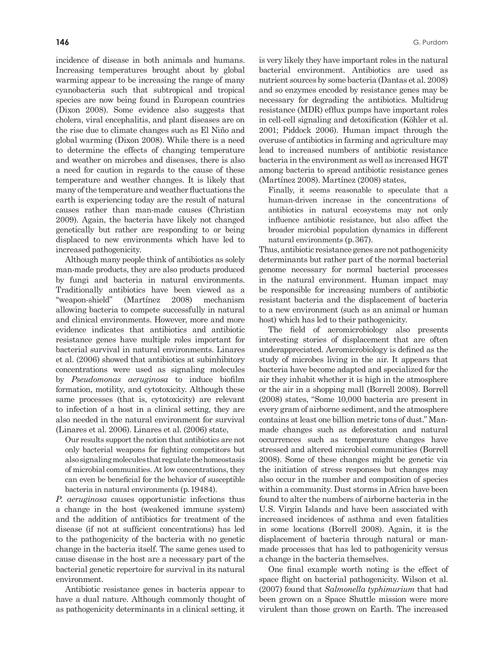incidence of disease in both animals and humans. Increasing temperatures brought about by global warming appear to be increasing the range of many cyanobacteria such that subtropical and tropical species are now being found in European countries (Dixon 2008). Some evidence also suggests that cholera, viral encephalitis, and plant diseases are on the rise due to climate changes such as El Niño and global warming (Dixon 2008). While there is a need to determine the effects of changing temperature and weather on microbes and diseases, there is also a need for caution in regards to the cause of these temperature and weather changes. It is likely that many of the temperature and weather fluctuations the earth is experiencing today are the result of natural causes rather than man-made causes (Christian 2009). Again, the bacteria have likely not changed genetically but rather are responding to or being displaced to new environments which have led to increased pathogenicity.

Although many people think of antibiotics as solely man-made products, they are also products produced by fungi and bacteria in natural environments. Traditionally antibiotics have been viewed as a "weapon-shield" (Martínez 2008) mechanism allowing bacteria to compete successfully in natural and clinical environments. However, more and more evidence indicates that antibiotics and antibiotic resistance genes have multiple roles important for bacterial survival in natural environments. Linares et al. (2006) showed that antibiotics at subinhibitory concentrations were used as signaling molecules by *Pseudomonas aeruginosa* to induce biofilm formation, motility, and cytotoxicity. Although these same processes (that is, cytotoxicity) are relevant to infection of a host in a clinical setting, they are also needed in the natural environment for survival (Linares et al. 2006). Linares et al. (2006) state,

Our results support the notion that antibiotics are not only bacterial weapons for fighting competitors but also signaling molecules that regulate the homeostasis of microbial communities. At low concentrations, they can even be beneficial for the behavior of susceptible bacteria in natural environments (p. 19484).

*P. aeruginosa* causes opportunistic infections thus a change in the host (weakened immune system) and the addition of antibiotics for treatment of the disease (if not at sufficient concentrations) has led to the pathogenicity of the bacteria with no genetic change in the bacteria itself. The same genes used to cause disease in the host are a necessary part of the bacterial genetic repertoire for survival in its natural environment.

Antibiotic resistance genes in bacteria appear to have a dual nature. Although commonly thought of as pathogenicity determinants in a clinical setting, it is very likely they have important roles in the natural bacterial environment. Antibiotics are used as nutrient sources by some bacteria (Dantas et al. 2008) and so enzymes encoded by resistance genes may be necessary for degrading the antibiotics. Multidrug resistance (MDR) efflux pumps have important roles in cell-cell signaling and detoxification (Köhler et al. 2001; Piddock 2006). Human impact through the overuse of antibiotics in farming and agriculture may lead to increased numbers of antibiotic resistance bacteria in the environment as well as increased HGT among bacteria to spread antibiotic resistance genes (Martínez 2008). Martínez (2008) states,

Finally, it seems reasonable to speculate that a human-driven increase in the concentrations of antibiotics in natural ecosystems may not only influence antibiotic resistance, but also affect the broader microbial population dynamics in different natural environments (p. 367).

Thus, antibiotic resistance genes are not pathogenicity determinants but rather part of the normal bacterial genome necessary for normal bacterial processes in the natural environment. Human impact may be responsible for increasing numbers of antibiotic resistant bacteria and the displacement of bacteria to a new environment (such as an animal or human host) which has led to their pathogenicity.

The field of aeromicrobiology also presents interesting stories of displacement that are often underappreciated. Aeromicrobiology is defined as the study of microbes living in the air. It appears that bacteria have become adapted and specialized for the air they inhabit whether it is high in the atmosphere or the air in a shopping mall (Borrell 2008). Borrell (2008) states, "Some 10,000 bacteria are present in every gram of airborne sediment, and the atmosphere contains at least one billion metric tons of dust." Manmade changes such as deforestation and natural occurrences such as temperature changes have stressed and altered microbial communities (Borrell 2008). Some of these changes might be genetic via the initiation of stress responses but changes may also occur in the number and composition of species within a community. Dust storms in Africa have been found to alter the numbers of airborne bacteria in the U. S. Virgin Islands and have been associated with increased incidences of asthma and even fatalities in some locations (Borrell 2008). Again, it is the displacement of bacteria through natural or manmade processes that has led to pathogenicity versus a change in the bacteria themselves.

One final example worth noting is the effect of space flight on bacterial pathogenicity. Wilson et al. (2007) found that *Salmonella typhimurium* that had been grown on a Space Shuttle mission were more virulent than those grown on Earth. The increased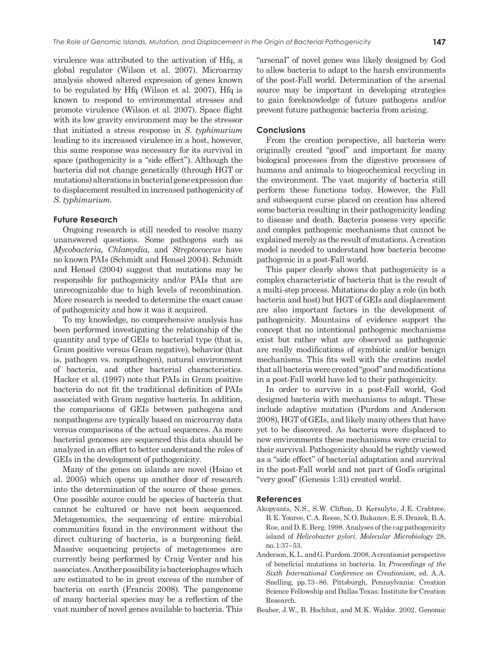virulence was attributed to the activation of Hfq, a global regulator (Wilson et al. 2007). Microarray analysis showed altered expression of genes known to be regulated by Hfq (Wilson et al. 2007). Hfq is known to respond to environmental stresses and promote virulence (Wilson et al. 2007). Space flight with its low gravity environment may be the stressor that initiated a stress response in *S. typhimurium* leading to its increased virulence in a host, however, this same response was necessary for its survival in space (pathogenicity is a "side effect"). Although the bacteria did not change genetically (through HGT or mutations) alterations in bacterial gene expression due to displacement resulted in increased pathogenicity of *S. typhimurium*.

#### **Future Research**

Ongoing research is still needed to resolve many unanswered questions. Some pathogens such as *Mycobacteria*, *Chlamydia*, and *Streptococcus* have no known PAIs (Schmidt and Hensel 2004). Schmidt and Hensel (2004) suggest that mutations may be responsible for pathogenicity and/or PAIs that are unrecognizable due to high levels of recombination. More research is needed to determine the exact cause of pathogenicity and how it was it acquired.

To my knowledge, no comprehensive analysis has been performed investigating the relationship of the quantity and type of GEIs to bacterial type (that is, Gram positive versus Gram negative), behavior (that is, pathogen vs. nonpathogen), natural environment of bacteria, and other bacterial characteristics. Hacker et al. (1997) note that PAIs in Gram positive bacteria do not fit the traditional definition of PAIs associated with Gram negative bacteria. In addition, the comparisons of GEIs between pathogens and nonpathogens are typically based on microarray data versus comparisons of the actual sequences. As more bacterial genomes are sequenced this data should be analyzed in an effort to better understand the roles of GEIs in the development of pathogenicity.

Many of the genes on islands are novel (Hsiao et al. 2005) which opens up another door of research into the determination of the source of these genes. One possible source could be species of bacteria that cannot be cultured or have not been sequenced. Metagenomics, the sequencing of entire microbial communities found in the environment without the direct culturing of bacteria, is a burgeoning field. Massive sequencing projects of metagenomes are currently being performed by Craig Venter and his associates. Another possibility is bacteriophages which are estimated to be in great excess of the number of bacteria on earth (Francis 2008). The pangenome of many bacterial species may be a reflection of the vast number of novel genes available to bacteria. This

"arsenal" of novel genes was likely designed by God to allow bacteria to adapt to the harsh environments of the post-Fall world. Determination of the arsenal source may be important in developing strategies to gain foreknowledge of future pathogens and/or prevent future pathogenic bacteria from arising.

# **Conclusions**

From the creation perspective, all bacteria were originally created "good" and important for many biological processes from the digestive processes of humans and animals to biogeochemical recycling in the environment. The vast majority of bacteria still perform these functions today. However, the Fall and subsequent curse placed on creation has altered some bacteria resulting in their pathogenicity leading to disease and death. Bacteria possess very specific and complex pathogenic mechanisms that cannot be explained merely as the result of mutations. A creation model is needed to understand how bacteria become pathogenic in a post-Fall world.

This paper clearly shows that pathogenicity is a complex characteristic of bacteria that is the result of a multi-step process. Mutations do play a role (in both bacteria and host) but HGT of GEIs and displacement are also important factors in the development of pathogenicity. Mountains of evidence support the concept that no intentional pathogenic mechanisms exist but rather what are observed as pathogenic are really modifications of symbiotic and/or benign mechanisms. This fits well with the creation model that all bacteria were created "good" and modifications in a post-Fall world have led to their pathogenicity.

In order to survive in a post-Fall world, God designed bacteria with mechanisms to adapt. These include adaptive mutation (Purdom and Anderson 2008), HGT of GEIs, and likely many others that have yet to be discovered. As bacteria were displaced to new environments these mechanisms were crucial to their survival. Pathogenicity should be rightly viewed as a "side effect" of bacterial adaptation and survival in the post-Fall world and not part of God's original "very good" (Genesis 1:31) created world.

#### **References**

- Akopyants, N. S., S. W. Clifton, D. Kersulyte, J. E. Crabtree, B. E. Youree, C. A. Reese, N. O. Bukanov, E. S. Drazek, B. A. Roe, and D. E. Berg. 1998. Analyses of the cag pathogenicity island of *Helicobacter pylori*. *Molecular Microbiology* 28, no. 1:37–53.
- Anderson, K. L. and G. Purdom. 2008. A creationist perspective of beneficial mutations in bacteria. In *Proceedings of the Sixth International Conference on Creationism*, ed. A. A. Snelling, pp. 73–86. Pittsburgh, Pennsylvania: Creation Science Fellowship and Dallas Texas: Institute for Creation Research.
- Beaber, J. W., B. Hochhut, and M. K. Waldor. 2002. Genomic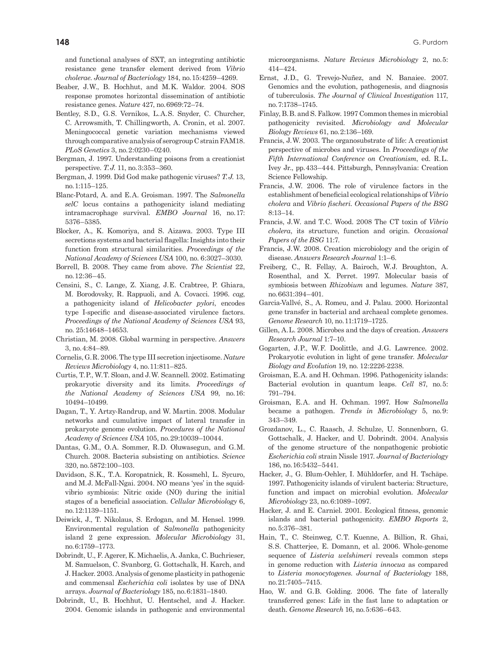and functional analyses of SXT, an integrating antibiotic resistance gene transfer element derived from *Vibrio cholerae*. *Journal of Bacteriology* 184, no. 15:4259–4269.

- Beaber, J. W., B. Hochhut, and M. K. Waldor. 2004. SOS response promotes horizontal dissemination of antibiotic resistance genes. *Nature* 427, no. 6969:72–74.
- Bentley, S.D., G.S. Vernikos, L.A.S. Snyder, C. Churcher, C. Arrowsmith, T. Chillingworth, A. Cronin, et al. 2007. Meningococcal genetic variation mechanisms viewed through comparative analysis of serogroup C strain FAM18. *PLoS Genetics* 3, no. 2:0230–0240.
- Bergman, J. 1997. Understanding poisons from a creationist perspective. *T. J.* 11, no. 3:353–360.
- Bergman, J. 1999. Did God make pathogenic viruses? *T. J.* 13, no. 1:115–125.
- Blanc-Potard, A. and E. A. Groisman. 1997. The *Salmonella selC* locus contains a pathogenicity island mediating intramacrophage survival. *EMBO Journal* 16, no. 17: 5376–5385.
- Blocker, A., K. Komoriya, and S. Aizawa. 2003. Type III secretions systems and bacterial flagella: Insights into their function from structural similarities. *Proceedings of the National Academy of Sciences USA* 100, no. 6:3027–3030.
- Borrell, B. 2008. They came from above. *The Scientist* 22, no. 12:36–45.
- Censini, S., C. Lange, Z. Xiang, J. E. Crabtree, P. Ghiara, M. Borodovsky, R. Rappuoli, and A. Covacci. 1996. *cag*, a pathogenicity island of *Helicobacter pylori*, encodes type I-specific and disease-associated virulence factors. *Proceedings of the National Academy of Sciences USA* 93, no. 25:14648–14653.
- Christian, M. 2008. Global warming in perspective. *Answers* 3, no. 4:84–89.
- Cornelis, G. R. 2006. The type III secretion injectisome. *Nature Reviews Microbiology* 4, no. 11:811–825.
- Curtis, T. P., W. T. Sloan, and J. W. Scannell. 2002. Estimating prokaryotic diversity and its limits. *Proceedings of the National Academy of Sciences USA* 99, no. 16: 10494–10499.
- Dagan, T., Y. Artzy-Randrup, and W. Martin. 2008. Modular networks and cumulative impact of lateral transfer in prokaryote genome evolution. *Procedures of the National Academy of Sciences USA* 105, no. 29:10039–10044.
- Dantas, G.M., O.A. Sommer, R.D. Oluwasegun, and G.M. Church. 2008. Bacteria subsisting on antibiotics. *Science* 320, no. 5872:100–103.
- Davidson, S.K., T.A. Koropatnick, R. Kossmehl, L. Sycuro, and M. J. McFall-Ngai. 2004. NO means 'yes' in the squidvibrio symbiosis: Nitric oxide (NO) during the initial stages of a beneficial association. *Cellular Microbiology* 6, no. 12:1139–1151.
- Deiwick, J., T. Nikolaus, S. Erdogan, and M. Hensel. 1999. Environmental regulation of *Salmonella* pathogenicity island 2 gene expression. *Molecular Microbiology* 31, no. 6:1759–1773.
- Dobrindt, U., F. Agerer, K. Michaelis, A. Janka, C. Buchrieser, M. Samuelson, C. Svanborg, G. Gottschalk, H. Karch, and J. Hacker. 2003. Analysis of genome plasticity in pathogenic and commensal *Escherichia coli* isolates by use of DNA arrays. *Journal of Bacteriology* 185, no. 6:1831–1840.
- Dobrindt, U., B. Hochhut, U. Hentschel, and J. Hacker. 2004. Genomic islands in pathogenic and environmental

microorganisms. *Nature Reviews Microbiology* 2, no. 5: 414–424.

- Ernst, J.D., G. Trevejo-Nuñez, and N. Banaiee. 2007. Genomics and the evolution, pathogenesis, and diagnosis of tuberculosis. *The Journal of Clinical Investigation* 117, no. 7:1738–1745.
- Finlay, B. B. and S. Falkow. 1997 Common themes in microbial pathogenicity revisited. *Microbiology and Molecular Biology Reviews* 61, no. 2:136–169.
- Francis, J. W. 2003. The organosubstrate of life: A creationist perspective of microbes and viruses. In *Proceedings of the Fifth International Conference on Creationism*, ed. R. L. Ivey Jr., pp. 433–444. Pittsburgh, Pennsylvania: Creation Science Fellowship.
- Francis, J. W. 2006. The role of virulence factors in the establishment of beneficial ecological relationships of *Vibrio cholera* and *Vibrio fischeri*. *Occasional Papers of the BSG* 8:13–14.
- Francis, J. W. and T. C. Wood. 2008 The CT toxin of *Vibrio cholera*, its structure, function and origin. *Occasional Papers of the BSG* 11:7.
- Francis, J. W. 2008. Creation microbiology and the origin of disease. *Answers Research Journal* 1:1–6.
- Freiberg, C., R. Fellay, A. Bairoch, W. J. Broughton, A. Rosenthal, and X. Perret. 1997. Molecular basis of symbiosis between *Rhizobium* and legumes. *Nature* 387, no. 6631:394–401.
- Garcia-Vallvé, S., A. Romeu, and J. Palau. 2000. Horizontal gene transfer in bacterial and archaeal complete genomes. *Genome Research* 10, no. 11:1719–1725.
- Gillen, A. L. 2008. Microbes and the days of creation. *Answers Research Journal* 1:7–10.
- Gogarten, J.P., W.F. Doolittle, and J.G. Lawrence. 2002. Prokaryotic evolution in light of gene transfer. *Molecular Biology and Evolution* 19, no. 12:2226-2238.
- Groisman, E. A. and H. Ochman. 1996. Pathogenicity islands: Bacterial evolution in quantum leaps. *Cell* 87, no. 5: 791–794.
- Groisman, E. A. and H. Ochman. 1997. How *Salmonella* became a pathogen. *Trends in Microbiology* 5, no. 9: 343–349.
- Grozdanov, L., C. Raasch, J. Schulze, U. Sonnenborn, G. Gottschalk, J. Hacker, and U. Dobrindt. 2004. Analysis of the genome structure of the nonpathogenic probiotic *Escherichia coli* strain Nissle 1917. *Journal of Bacteriology* 186, no. 16:5432–5441.
- Hacker, J., G. Blum-Oehler, I. Mühldorfer, and H. Tschäpe. 1997. Pathogenicity islands of virulent bacteria: Structure, function and impact on microbial evolution. *Molecular Microbiology* 23, no. 6:1089–1097.
- Hacker, J. and E. Carniel. 2001. Ecological fitness, genomic islands and bacterial pathogenicity. *EMBO Reports* 2, no. 5:376–381.
- Hain, T., C. Steinweg, C. T. Kuenne, A. Billion, R. Ghai, S. S. Chatterjee, E. Domann, et al. 2006. Whole-genome sequence of *Listeria welshimeri* reveals common steps in genome reduction with *Listeria innocua* as compared to *Listeria monocytogenes*. *Journal of Bacteriology* 188, no. 21:7405–7415.
- Hao, W. and G.B. Golding. 2006. The fate of laterally transferred genes: Life in the fast lane to adaptation or death. *Genome Research* 16, no. 5:636–643.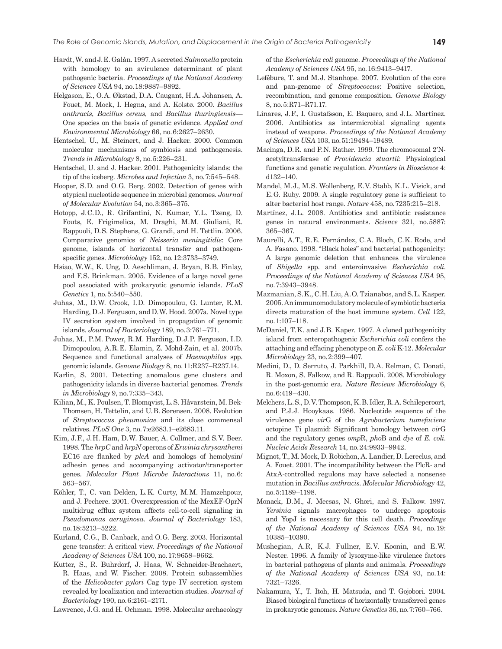- Hardt, W. and J. E. Galàn. 1997. A secreted *Salmonella* protein with homology to an avirulence determinant of plant pathogenic bacteria. *Proceedings of the National Academy of Sciences USA* 94, no. 18:9887–9892.
- Helgason, E., O. A. Økstad, D. A. Caugant, H. A. Johansen, A. Fouet, M. Mock, I. Hegna, and A. Kolstø. 2000. *Bacillus anthracis*, *Bacillus cereus*, and *Bacillus thuringiensis*— One species on the basis of genetic evidence. *Applied and Environmental Microbiology* 66, no. 6:2627–2630.
- Hentschel, U., M. Steinert, and J. Hacker. 2000. Common molecular mechanisms of symbiosis and pathogenesis. *Trends in Microbiology* 8, no. 5:226–231.
- Hentschel, U. and J. Hacker. 2001. Pathogenicity islands: the tip of the iceberg. *Microbes and Infection* 3, no. 7:545–548.
- Hooper, S.D. and O.G. Berg. 2002. Detection of genes with atypical nucleotide sequence in microbial genomes. *Journal of Molecular Evolution* 54, no. 3:365–375.
- Hotopp, J.C.D., R. Grifantini, N. Kumar, Y.L. Tzeng, D. Fouts, E. Frigimelica, M. Draghi, M. M. Giuliani, R. Rappuoli, D. S. Stephens, G. Grandi, and H. Tettlin. 2006. Comparative genomics of *Neisseria meningitidis*: Core genome, islands of horizontal transfer and pathogenspecific genes. *Microbiology* 152, no. 12:3733–3749.
- Hsiao, W. W., K. Ung, D. Aeschliman, J. Bryan, B. B. Finlay, and F.S. Brinkman. 2005. Evidence of a large novel gene pool associated with prokaryotic genomic islands. *PLoS Genetics* 1, no. 5:540–550.
- Juhas, M., D.W. Crook, I.D. Dimopoulou, G. Lunter, R.M. Harding, D.J. Ferguson, and D.W. Hood. 2007a. Novel type IV secretion system involved in propagation of genomic islands. *Journal of Bacteriology* 189, no. 3:761–771.
- Juhas, M., P.M. Power, R.M. Harding, D.J.P. Ferguson, I.D. Dimopoulou, A. R. E. Elamin, Z. Mohd-Zain, et al. 2007b. Sequence and functional analyses of *Haemophilus* spp. genomic islands. *Genome Biology* 8, no. 11:R237–R237.14.
- Karlin, S. 2001. Detecting anomalous gene clusters and pathogenicity islands in diverse bacterial genomes. *Trends in Microbiology* 9, no. 7:335–343.
- Kilian, M., K. Poulsen, T. Blomqvist, L. S. Håvarstein, M. Bek-Thomsen, H. Tettelin, and U. B. Sørensen. 2008. Evolution of *Streptococcus pheumoniae* and its close commensal relatives. *PLoS One* 3, no. 7:e2683.1–e2683.11.
- Kim, J. F., J. H. Ham, D. W. Bauer, A. Collmer, and S. V. Beer. 1998. The *hrpC* and *hrpN* operons of *Erwinia chrysanthemi* EC16 are flanked by *plcA* and homologs of hemolysin/ adhesin genes and accompanying activator/transporter genes. *Molecular Plant Microbe Interactions* 11, no. 6: 563–567.
- Köhler, T., C. van Delden, L. K. Curty, M. M. Hamzehpour, and J. Pechere. 2001. Overexpression of the MexEF-OprN multidrug efflux system affects cell-to-cell signaling in *Pseudomonas aeruginosa*. *Journal of Bacteriology* 183, no. 18:5213–5222.
- Kurland, C.G., B. Canback, and O.G. Berg. 2003. Horizontal gene transfer: A critical view. *Proceedings of the National Academy of Sciences USA* 100, no. 17:9658–9662.
- Kutter, S., R. Buhrdorf, J. Haas, W. Schneider-Brachaert, R. Haas, and W. Fischer. 2008. Protein subassemblies of the *Helicobacter pylori* Cag type IV secretion system revealed by localization and interaction studies. *Journal of Bacteriology* 190, no. 6:2161–2171.

Lawrence, J. G. and H. Ochman. 1998. Molecular archaeology

of the *Escherichia coli* genome. *Proceedings of the National Academy of Sciences USA* 95, no. 16:9413–9417.

- Lefébure, T. and M. J. Stanhope. 2007. Evolution of the core and pan-genome of *Streptococcus*: Positive selection, recombination, and genome composition. *Genome Biology* 8, no. 5:R71–R71.17.
- Linares, J.F., I. Gustafsson, E. Baquero, and J.L. Martínez. 2006. Antibiotics as intermicrobial signaling agents instead of weapons. *Proceedings of the National Academy of Sciences USA* 103, no. 51:19484–19489.
- Macinga, D.R. and P.N. Rather. 1999. The chromosomal 2'Nacetyltransferase of *Providencia stuartii*: Physiological functions and genetic regulation. *Frontiers in Bioscience* 4: d132–140.
- Mandel, M. J., M. S. Wollenberg, E. V. Stabb, K. L. Visick, and E. G. Ruby. 2009. A single regulatory gene is sufficient to alter bacterial host range. *Nature* 458, no. 7235:215–218.
- Martínez, J.L. 2008. Antibiotics and antibiotic resistance genes in natural environments. *Science* 321, no. 5887: 365–367.
- Maurelli, A. T., R. E. Fernández, C. A. Bloch, C. K. Rode, and A. Fasano. 1998. "Black holes" and bacterial pathogenicity: A large genomic deletion that enhances the virulence of *Shigella* spp. and enteroinvasive *Escherichia coli*. *Proceedings of the National Academy of Sciences USA* 95, no. 7:3943–3948.
- Mazmanian, S. K., C. H. Liu, A. O. Tzianabos, and S. L. Kasper. 2005. An immunomodulatory molecule of symbiotic bacteria directs maturation of the host immune system. *Cell* 122, no. 1:107–118.
- McDaniel, T.K. and J.B. Kaper. 1997. A cloned pathogenicity island from enteropathogenic *Escherichia coli* confers the attaching and effacing phenotype on *E. coli* K-12. *Molecular Microbiology* 23, no. 2:399–407.
- Medini, D., D. Serruto, J. Parkhill, D. A. Relman, C. Donati, R. Moxon, S. Falkow, and R. Rappuoli. 2008. Microbiology in the post-genomic era. *Nature Reviews Microbiology* 6, no. 6:419–430.
- Melchers, L. S., D. V. Thompson, K. B. Idler, R. A. Schileperoort, and P.J.J. Hooykaas. 1986. Nucleotide sequence of the virulence gene *vir*G of the *Agrobacterium tumefaciens* octopine Ti plasmid: Significant homology between *vir*G and the regulatory genes *omp*R, *pho*B and *dye* of *E. coli*. *Nucleic Acids Research* 14, no. 24:9933–9942.
- Mignot, T., M. Mock, D. Robichon, A. Landier, D. Lereclus, and A. Fouet. 2001. The incompatibility between the PlcR- and AtxA-controlled regulons may have selected a nonsense mutation in *Bacillus anthracis*. *Molecular Microbiology* 42, no. 5:1189–1198.
- Monack, D.M., J. Mecsas, N. Ghori, and S. Falkow. 1997. *Yersinia* signals macrophages to undergo apoptosis and YopJ is necessary for this cell death. *Proceedings of the National Academy of Sciences USA* 94, no. 19: 10385–10390.
- Mushegian, A.R, K.J. Fullner, E.V. Koonin, and E.W. Nester. 1996. A family of lysozyme-like virulence factors in bacterial pathogens of plants and animals. *Proceedings of the National Academy of Sciences USA* 93, no. 14: 7321–7326.
- Nakamura, Y., T. Itoh, H. Matsuda, and T. Gojobori. 2004. Biased biological functions of horizontally transferred genes in prokaryotic genomes. *Nature Genetics* 36, no. 7:760–766.